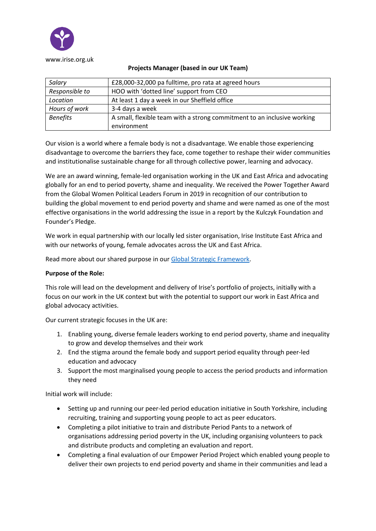

| Salary          | £28,000-32,000 pa fulltime, pro rata at agreed hours                    |
|-----------------|-------------------------------------------------------------------------|
| Responsible to  | HOO with 'dotted line' support from CEO                                 |
| Location        | At least 1 day a week in our Sheffield office                           |
| Hours of work   | 3-4 days a week                                                         |
| <b>Benefits</b> | A small, flexible team with a strong commitment to an inclusive working |
|                 | environment                                                             |

#### **Projects Manager (based in our UK Team)**

Our vision is a world where a female body is not a disadvantage. We enable those experiencing disadvantage to overcome the barriers they face, come together to reshape their wider communities and institutionalise sustainable change for all through collective power, learning and advocacy.

We are an award winning, female-led organisation working in the UK and East Africa and advocating globally for an end to period poverty, shame and inequality. We received the Power Together Award from the Global Women Political Leaders Forum in 2019 in recognition of our contribution to building the global movement to end period poverty and shame and were named as one of the most effective organisations in the world addressing the issue in a report by the Kulczyk Foundation and Founder's Pledge.

We work in equal partnership with our locally led sister organisation, Irise Institute East Africa and with our networks of young, female advocates across the UK and East Africa.

Read more about our shared purpose in our [Global Strategic Framework.](https://www.irise.org.uk/wp-content/uploads/2021/07/Global-Strategic-Framework-Draft-without-logos.pdf)

# **Purpose of the Role:**

This role will lead on the development and delivery of Irise's portfolio of projects, initially with a focus on our work in the UK context but with the potential to support our work in East Africa and global advocacy activities.

Our current strategic focuses in the UK are:

- 1. Enabling young, diverse female leaders working to end period poverty, shame and inequality to grow and develop themselves and their work
- 2. End the stigma around the female body and support period equality through peer-led education and advocacy
- 3. Support the most marginalised young people to access the period products and information they need

Initial work will include:

- Setting up and running our peer-led period education initiative in South Yorkshire, including recruiting, training and supporting young people to act as peer educators.
- Completing a pilot initiative to train and distribute Period Pants to a network of organisations addressing period poverty in the UK, including organising volunteers to pack and distribute products and completing an evaluation and report.
- Completing a final evaluation of our Empower Period Project which enabled young people to deliver their own projects to end period poverty and shame in their communities and lead a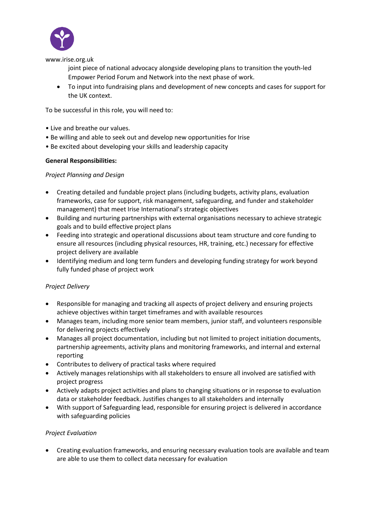

www.irise.org.uk

joint piece of national advocacy alongside developing plans to transition the youth-led Empower Period Forum and Network into the next phase of work.

• To input into fundraising plans and development of new concepts and cases for support for the UK context.

To be successful in this role, you will need to:

- Live and breathe our values.
- Be willing and able to seek out and develop new opportunities for Irise
- Be excited about developing your skills and leadership capacity

#### **General Responsibilities:**

### *Project Planning and Design*

- Creating detailed and fundable project plans (including budgets, activity plans, evaluation frameworks, case for support, risk management, safeguarding, and funder and stakeholder management) that meet Irise International's strategic objectives
- Building and nurturing partnerships with external organisations necessary to achieve strategic goals and to build effective project plans
- Feeding into strategic and operational discussions about team structure and core funding to ensure all resources (including physical resources, HR, training, etc.) necessary for effective project delivery are available
- Identifying medium and long term funders and developing funding strategy for work beyond fully funded phase of project work

# *Project Delivery*

- Responsible for managing and tracking all aspects of project delivery and ensuring projects achieve objectives within target timeframes and with available resources
- Manages team, including more senior team members, junior staff, and volunteers responsible for delivering projects effectively
- Manages all project documentation, including but not limited to project initiation documents, partnership agreements, activity plans and monitoring frameworks, and internal and external reporting
- Contributes to delivery of practical tasks where required
- Actively manages relationships with all stakeholders to ensure all involved are satisfied with project progress
- Actively adapts project activities and plans to changing situations or in response to evaluation data or stakeholder feedback. Justifies changes to all stakeholders and internally
- With support of Safeguarding lead, responsible for ensuring project is delivered in accordance with safeguarding policies

# *Project Evaluation*

• Creating evaluation frameworks, and ensuring necessary evaluation tools are available and team are able to use them to collect data necessary for evaluation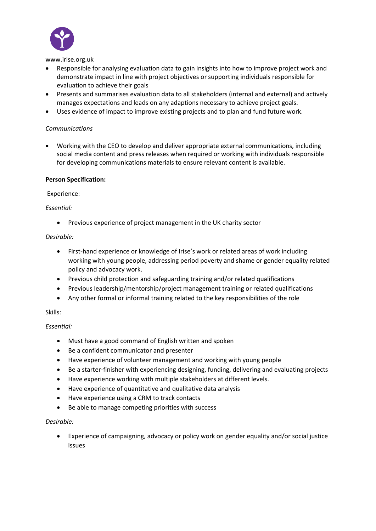

www.irise.org.uk

- Responsible for analysing evaluation data to gain insights into how to improve project work and demonstrate impact in line with project objectives or supporting individuals responsible for evaluation to achieve their goals
- Presents and summarises evaluation data to all stakeholders (internal and external) and actively manages expectations and leads on any adaptions necessary to achieve project goals.
- Uses evidence of impact to improve existing projects and to plan and fund future work.

### *Communications*

• Working with the CEO to develop and deliver appropriate external communications, including social media content and press releases when required or working with individuals responsible for developing communications materials to ensure relevant content is available.

#### **Person Specification:**

Experience:

### *Essential:*

• Previous experience of project management in the UK charity sector

### *Desirable:*

- First-hand experience or knowledge of Irise's work or related areas of work including working with young people, addressing period poverty and shame or gender equality related policy and advocacy work.
- Previous child protection and safeguarding training and/or related qualifications
- Previous leadership/mentorship/project management training or related qualifications
- Any other formal or informal training related to the key responsibilities of the role

# Skills:

# *Essential:*

- Must have a good command of English written and spoken
- Be a confident communicator and presenter
- Have experience of volunteer management and working with young people
- Be a starter-finisher with experiencing designing, funding, delivering and evaluating projects
- Have experience working with multiple stakeholders at different levels.
- Have experience of quantitative and qualitative data analysis
- Have experience using a CRM to track contacts
- Be able to manage competing priorities with success

# *Desirable:*

• Experience of campaigning, advocacy or policy work on gender equality and/or social justice issues